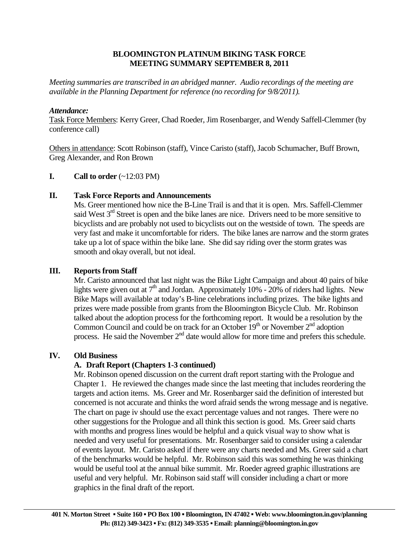## **BLOOMINGTON PLATINUM BIKING TASK FORCE MEETING SUMMARY SEPTEMBER 8, 2011**

*Meeting summaries are transcribed in an abridged manner. Audio recordings of the meeting are available in the Planning Department for reference (no recording for 9/8/2011).* 

## *Attendance:*

Task Force Members: Kerry Greer, Chad Roeder, Jim Rosenbarger, and Wendy Saffell-Clemmer (by conference call)

Others in attendance: Scott Robinson (staff), Vince Caristo (staff), Jacob Schumacher, Buff Brown, Greg Alexander, and Ron Brown

## **I.** Call to order  $(\sim 12:03 \text{ PM})$

## **II. Task Force Reports and Announcements**

 Ms. Greer mentioned how nice the B-Line Trail is and that it is open. Mrs. Saffell-Clemmer said West  $3<sup>rd</sup>$  Street is open and the bike lanes are nice. Drivers need to be more sensitive to bicyclists and are probably not used to bicyclists out on the westside of town. The speeds are very fast and make it uncomfortable for riders. The bike lanes are narrow and the storm grates take up a lot of space within the bike lane. She did say riding over the storm grates was smooth and okay overall, but not ideal.

# **III. Reports from Staff**

Mr. Caristo announced that last night was the Bike Light Campaign and about 40 pairs of bike lights were given out at  $7<sup>th</sup>$  and Jordan. Approximately 10% - 20% of riders had lights. New Bike Maps will available at today's B-line celebrations including prizes. The bike lights and prizes were made possible from grants from the Bloomington Bicycle Club. Mr. Robinson talked about the adoption process for the forthcoming report. It would be a resolution by the Common Council and could be on track for an October  $19<sup>th</sup>$  or November  $2<sup>nd</sup>$  adoption process. He said the November  $2<sup>nd</sup>$  date would allow for more time and prefers this schedule.

# **IV. Old Business**

# **A. Draft Report (Chapters 1-3 continued)**

Mr. Robinson opened discussion on the current draft report starting with the Prologue and Chapter 1. He reviewed the changes made since the last meeting that includes reordering the targets and action items. Ms. Greer and Mr. Rosenbarger said the definition of interested but concerned is not accurate and thinks the word afraid sends the wrong message and is negative. The chart on page iv should use the exact percentage values and not ranges. There were no other suggestions for the Prologue and all think this section is good. Ms. Greer said charts with months and progress lines would be helpful and a quick visual way to show what is needed and very useful for presentations. Mr. Rosenbarger said to consider using a calendar of events layout. Mr. Caristo asked if there were any charts needed and Ms. Greer said a chart of the benchmarks would be helpful. Mr. Robinson said this was something he was thinking would be useful tool at the annual bike summit. Mr. Roeder agreed graphic illustrations are useful and very helpful. Mr. Robinson said staff will consider including a chart or more graphics in the final draft of the report.